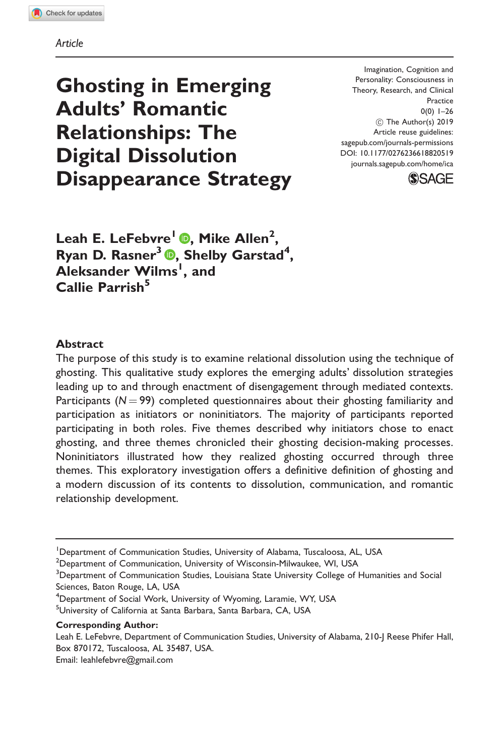# Ghosting in Emerging Adults' Romantic Relationships: The Digital Dissolution Disappearance Strategy

Imagination, Cognition and Personality: Consciousness in Theory, Research, and Clinical Practice 0(0) 1–26 ! The Author(s) 2019 Article reuse guidelines: [sagepub.com/journals-permissions](http://us.sagepub.com/en-us/journals-permissions) [DOI: 10.1177/0276236618820519](http://dx.doi.org/10.1177/0276236618820519) <journals.sagepub.com/home/ica>



Leah E. LeFebvre<sup>l</sup> ®, Mike Allen<sup>2</sup>, Ryan D. Rasner<sup>3</sup> (D, Shelby Garstad<sup>4</sup>, Aleksander Wilms<sup>1</sup>, and Callie Parrish<sup>5</sup>

#### **Abstract**

The purpose of this study is to examine relational dissolution using the technique of ghosting. This qualitative study explores the emerging adults' dissolution strategies leading up to and through enactment of disengagement through mediated contexts. Participants ( $N = 99$ ) completed questionnaires about their ghosting familiarity and participation as initiators or noninitiators. The majority of participants reported participating in both roles. Five themes described why initiators chose to enact ghosting, and three themes chronicled their ghosting decision-making processes. Noninitiators illustrated how they realized ghosting occurred through three themes. This exploratory investigation offers a definitive definition of ghosting and a modern discussion of its contents to dissolution, communication, and romantic relationship development.

 $^2$ Department of Communication, University of Wisconsin-Milwaukee, WI, USA

Corresponding Author:

Email: [leahlefebvre@gmail.com](mailto:leahlefebvre@gmail.com)

<sup>&</sup>lt;sup>1</sup>Department of Communication Studies, University of Alabama, Tuscaloosa, AL, USA

<sup>&</sup>lt;sup>3</sup>Department of Communication Studies, Louisiana State University College of Humanities and Social Sciences, Baton Rouge, LA, USA

<sup>4</sup> Department of Social Work, University of Wyoming, Laramie, WY, USA

<sup>5</sup> University of California at Santa Barbara, Santa Barbara, CA, USA

Leah E. LeFebvre, Department of Communication Studies, University of Alabama, 210-J Reese Phifer Hall, Box 870172, Tuscaloosa, AL 35487, USA.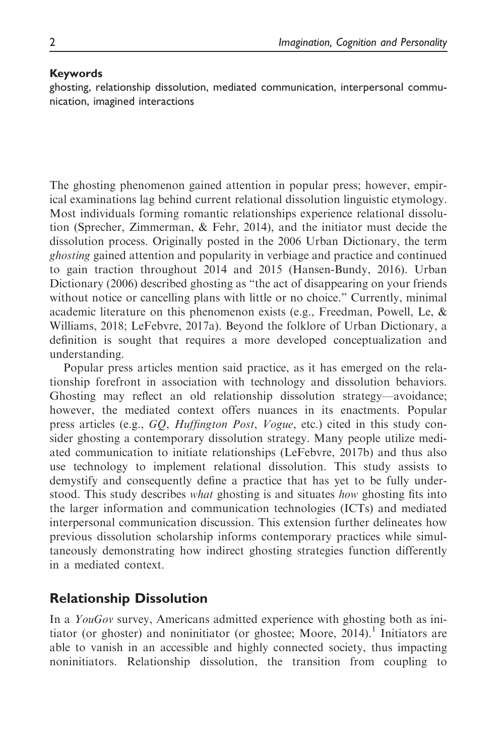#### Keywords

ghosting, relationship dissolution, mediated communication, interpersonal communication, imagined interactions

The ghosting phenomenon gained attention in popular press; however, empirical examinations lag behind current relational dissolution linguistic etymology. Most individuals forming romantic relationships experience relational dissolution (Sprecher, Zimmerman, & Fehr, 2014), and the initiator must decide the dissolution process. Originally posted in the 2006 Urban Dictionary, the term ghosting gained attention and popularity in verbiage and practice and continued to gain traction throughout 2014 and 2015 (Hansen-Bundy, 2016). Urban Dictionary (2006) described ghosting as "the act of disappearing on your friends without notice or cancelling plans with little or no choice." Currently, minimal academic literature on this phenomenon exists (e.g., Freedman, Powell, Le,  $\&$ Williams, 2018; LeFebvre, 2017a). Beyond the folklore of Urban Dictionary, a definition is sought that requires a more developed conceptualization and understanding.

Popular press articles mention said practice, as it has emerged on the relationship forefront in association with technology and dissolution behaviors. Ghosting may reflect an old relationship dissolution strategy—avoidance; however, the mediated context offers nuances in its enactments. Popular press articles (e.g., GQ, Huffington Post, Vogue, etc.) cited in this study consider ghosting a contemporary dissolution strategy. Many people utilize mediated communication to initiate relationships (LeFebvre, 2017b) and thus also use technology to implement relational dissolution. This study assists to demystify and consequently define a practice that has yet to be fully understood. This study describes *what* ghosting is and situates *how* ghosting fits into the larger information and communication technologies (ICTs) and mediated interpersonal communication discussion. This extension further delineates how previous dissolution scholarship informs contemporary practices while simultaneously demonstrating how indirect ghosting strategies function differently in a mediated context.

# Relationship Dissolution

In a *YouGov* survey, Americans admitted experience with ghosting both as initiator (or ghoster) and noninitiator (or ghostee; Moore,  $2014$ ).<sup>1</sup> Initiators are able to vanish in an accessible and highly connected society, thus impacting noninitiators. Relationship dissolution, the transition from coupling to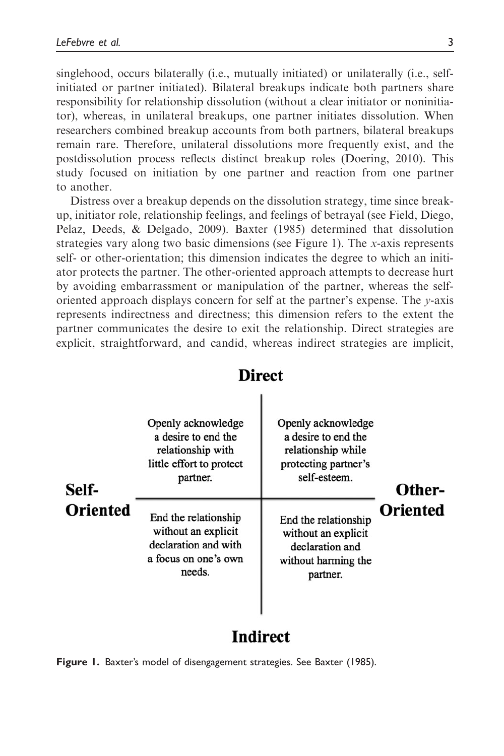singlehood, occurs bilaterally (i.e., mutually initiated) or unilaterally (i.e., selfinitiated or partner initiated). Bilateral breakups indicate both partners share responsibility for relationship dissolution (without a clear initiator or noninitiator), whereas, in unilateral breakups, one partner initiates dissolution. When researchers combined breakup accounts from both partners, bilateral breakups remain rare. Therefore, unilateral dissolutions more frequently exist, and the postdissolution process reflects distinct breakup roles (Doering, 2010). This study focused on initiation by one partner and reaction from one partner to another.

Distress over a breakup depends on the dissolution strategy, time since breakup, initiator role, relationship feelings, and feelings of betrayal (see Field, Diego, Pelaz, Deeds, & Delgado, 2009). Baxter (1985) determined that dissolution strategies vary along two basic dimensions (see Figure 1). The x-axis represents self- or other-orientation; this dimension indicates the degree to which an initiator protects the partner. The other-oriented approach attempts to decrease hurt by avoiding embarrassment or manipulation of the partner, whereas the selforiented approach displays concern for self at the partner's expense. The  $y$ -axis represents indirectness and directness; this dimension refers to the extent the partner communicates the desire to exit the relationship. Direct strategies are explicit, straightforward, and candid, whereas indirect strategies are implicit,

| Self-<br><b>Oriented</b> | Openly acknowledge<br>a desire to end the<br>relationship with<br>little effort to protect<br>partner. | Openly acknowledge<br>a desire to end the<br>relationship while<br>protecting partner's<br>self-esteem. | Other-<br><b>Oriented</b> |
|--------------------------|--------------------------------------------------------------------------------------------------------|---------------------------------------------------------------------------------------------------------|---------------------------|
|                          | End the relationship<br>without an explicit<br>declaration and with<br>a focus on one's own<br>needs.  | End the relationship<br>without an explicit<br>declaration and<br>without harming the<br>partner.       |                           |

# **Direct** ı

# **Indirect**

Figure 1. Baxter's model of disengagement strategies. See Baxter (1985).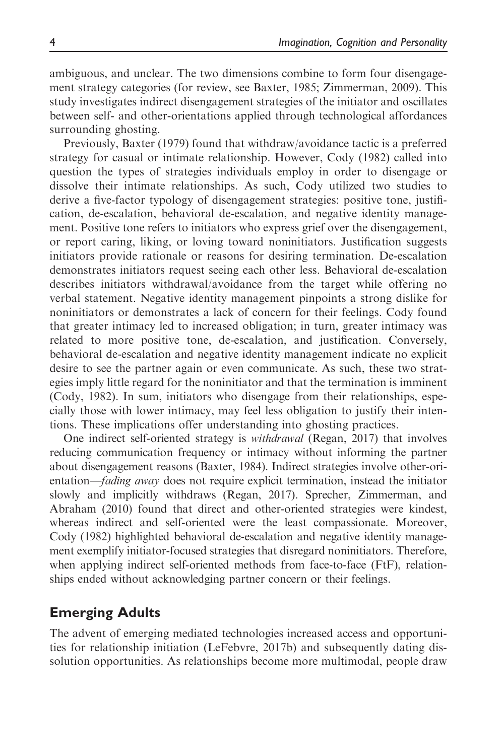ambiguous, and unclear. The two dimensions combine to form four disengagement strategy categories (for review, see Baxter, 1985; Zimmerman, 2009). This study investigates indirect disengagement strategies of the initiator and oscillates between self- and other-orientations applied through technological affordances surrounding ghosting.

Previously, Baxter (1979) found that withdraw/avoidance tactic is a preferred strategy for casual or intimate relationship. However, Cody (1982) called into question the types of strategies individuals employ in order to disengage or dissolve their intimate relationships. As such, Cody utilized two studies to derive a five-factor typology of disengagement strategies: positive tone, justification, de-escalation, behavioral de-escalation, and negative identity management. Positive tone refers to initiators who express grief over the disengagement, or report caring, liking, or loving toward noninitiators. Justification suggests initiators provide rationale or reasons for desiring termination. De-escalation demonstrates initiators request seeing each other less. Behavioral de-escalation describes initiators withdrawal/avoidance from the target while offering no verbal statement. Negative identity management pinpoints a strong dislike for noninitiators or demonstrates a lack of concern for their feelings. Cody found that greater intimacy led to increased obligation; in turn, greater intimacy was related to more positive tone, de-escalation, and justification. Conversely, behavioral de-escalation and negative identity management indicate no explicit desire to see the partner again or even communicate. As such, these two strategies imply little regard for the noninitiator and that the termination is imminent (Cody, 1982). In sum, initiators who disengage from their relationships, especially those with lower intimacy, may feel less obligation to justify their intentions. These implications offer understanding into ghosting practices.

One indirect self-oriented strategy is withdrawal (Regan, 2017) that involves reducing communication frequency or intimacy without informing the partner about disengagement reasons (Baxter, 1984). Indirect strategies involve other-orientation—*fading away* does not require explicit termination, instead the initiator slowly and implicitly withdraws (Regan, 2017). Sprecher, Zimmerman, and Abraham (2010) found that direct and other-oriented strategies were kindest, whereas indirect and self-oriented were the least compassionate. Moreover, Cody (1982) highlighted behavioral de-escalation and negative identity management exemplify initiator-focused strategies that disregard noninitiators. Therefore, when applying indirect self-oriented methods from face-to-face (FtF), relationships ended without acknowledging partner concern or their feelings.

# Emerging Adults

The advent of emerging mediated technologies increased access and opportunities for relationship initiation (LeFebvre, 2017b) and subsequently dating dissolution opportunities. As relationships become more multimodal, people draw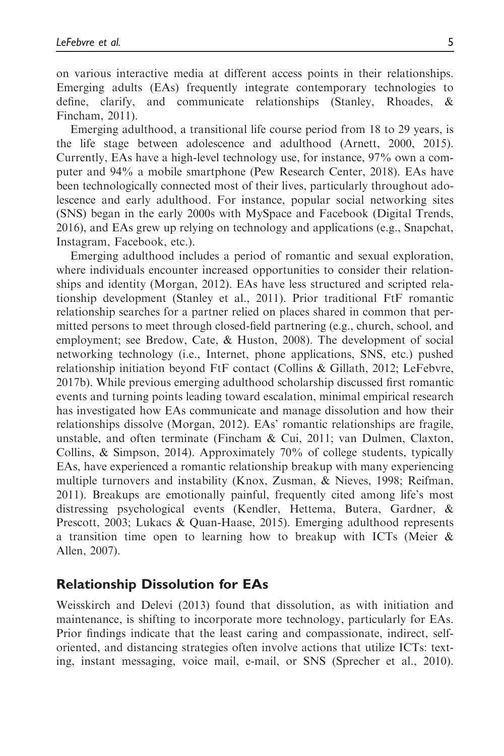on various interactive media at different access points in their relationships. Emerging adults (EAs) frequently integrate contemporary technologies to define, clarify, and communicate relationships (Stanley, Rhoades, & Fincham, 2011).

Emerging adulthood, a transitional life course period from 18 to 29 years, is the life stage between adolescence and adulthood (Arnett, 2000, 2015). Currently, EAs have a high-level technology use, for instance, 97% own a computer and 94% a mobile smartphone (Pew Research Center, 2018). EAs have been technologically connected most of their lives, particularly throughout adolescence and early adulthood. For instance, popular social networking sites (SNS) began in the early 2000s with MySpace and Facebook (Digital Trends, 2016), and EAs grew up relying on technology and applications (e.g., Snapchat, Instagram, Facebook, etc.).

Emerging adulthood includes a period of romantic and sexual exploration, where individuals encounter increased opportunities to consider their relationships and identity (Morgan, 2012). EAs have less structured and scripted relationship development (Stanley et al., 2011). Prior traditional FtF romantic relationship searches for a partner relied on places shared in common that permitted persons to meet through closed-field partnering (e.g., church, school, and employment; see Bredow, Cate, & Huston, 2008). The development of social networking technology (i.e., Internet, phone applications, SNS, etc.) pushed relationship initiation beyond FtF contact (Collins & Gillath, 2012; LeFebvre, 2017b). While previous emerging adulthood scholarship discussed first romantic events and turning points leading toward escalation, minimal empirical research has investigated how EAs communicate and manage dissolution and how their relationships dissolve (Morgan, 2012). EAs' romantic relationships are fragile, unstable, and often terminate (Fincham & Cui, 2011; van Dulmen, Claxton, Collins, & Simpson, 2014). Approximately 70% of college students, typically EAs, have experienced a romantic relationship breakup with many experiencing multiple turnovers and instability (Knox, Zusman, & Nieves, 1998; Reifman, 2011). Breakups are emotionally painful, frequently cited among life's most distressing psychological events (Kendler, Hettema, Butera, Gardner, & Prescott, 2003; Lukacs & Quan-Haase, 2015). Emerging adulthood represents a transition time open to learning how to breakup with ICTs (Meier & Allen, 2007).

# Relationship Dissolution for EAs

Weisskirch and Delevi (2013) found that dissolution, as with initiation and maintenance, is shifting to incorporate more technology, particularly for EAs. Prior findings indicate that the least caring and compassionate, indirect, selforiented, and distancing strategies often involve actions that utilize ICTs: texting, instant messaging, voice mail, e-mail, or SNS (Sprecher et al., 2010).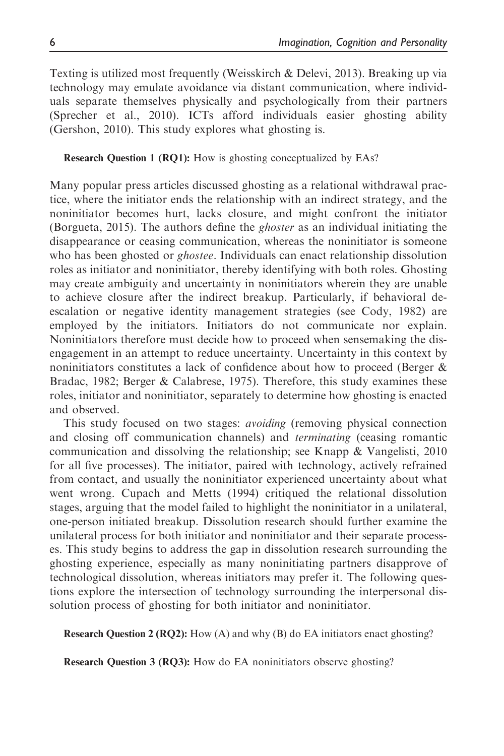Texting is utilized most frequently (Weisskirch & Delevi, 2013). Breaking up via technology may emulate avoidance via distant communication, where individuals separate themselves physically and psychologically from their partners (Sprecher et al., 2010). ICTs afford individuals easier ghosting ability (Gershon, 2010). This study explores what ghosting is.

Research Question 1 (RQ1): How is ghosting conceptualized by EAs?

Many popular press articles discussed ghosting as a relational withdrawal practice, where the initiator ends the relationship with an indirect strategy, and the noninitiator becomes hurt, lacks closure, and might confront the initiator (Borgueta, 2015). The authors define the ghoster as an individual initiating the disappearance or ceasing communication, whereas the noninitiator is someone who has been ghosted or *ghostee*. Individuals can enact relationship dissolution roles as initiator and noninitiator, thereby identifying with both roles. Ghosting may create ambiguity and uncertainty in noninitiators wherein they are unable to achieve closure after the indirect breakup. Particularly, if behavioral deescalation or negative identity management strategies (see Cody, 1982) are employed by the initiators. Initiators do not communicate nor explain. Noninitiators therefore must decide how to proceed when sensemaking the disengagement in an attempt to reduce uncertainty. Uncertainty in this context by noninitiators constitutes a lack of confidence about how to proceed (Berger & Bradac, 1982; Berger & Calabrese, 1975). Therefore, this study examines these roles, initiator and noninitiator, separately to determine how ghosting is enacted and observed.

This study focused on two stages: *avoiding* (removing physical connection and closing off communication channels) and terminating (ceasing romantic communication and dissolving the relationship; see Knapp & Vangelisti, 2010 for all five processes). The initiator, paired with technology, actively refrained from contact, and usually the noninitiator experienced uncertainty about what went wrong. Cupach and Metts (1994) critiqued the relational dissolution stages, arguing that the model failed to highlight the noninitiator in a unilateral, one-person initiated breakup. Dissolution research should further examine the unilateral process for both initiator and noninitiator and their separate processes. This study begins to address the gap in dissolution research surrounding the ghosting experience, especially as many noninitiating partners disapprove of technological dissolution, whereas initiators may prefer it. The following questions explore the intersection of technology surrounding the interpersonal dissolution process of ghosting for both initiator and noninitiator.

Research Question 2 (RQ2): How (A) and why (B) do EA initiators enact ghosting?

Research Question 3 (RQ3): How do EA noninitiators observe ghosting?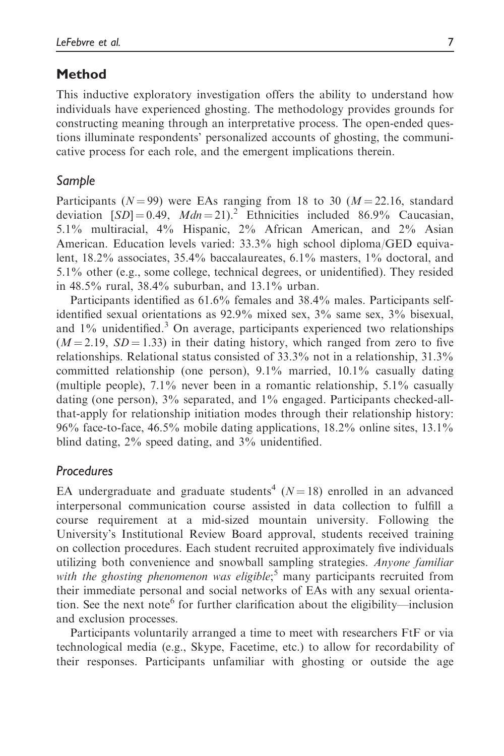# Method

This inductive exploratory investigation offers the ability to understand how individuals have experienced ghosting. The methodology provides grounds for constructing meaning through an interpretative process. The open-ended questions illuminate respondents' personalized accounts of ghosting, the communicative process for each role, and the emergent implications therein.

#### Sample

Participants ( $N = 99$ ) were EAs ranging from 18 to 30 ( $M = 22.16$ , standard deviation  $[SD] = 0.49$ ,  $Mdn = 21$ .<sup>2</sup> Ethnicities included 86.9% Caucasian, 5.1% multiracial, 4% Hispanic, 2% African American, and 2% Asian American. Education levels varied: 33.3% high school diploma/GED equivalent, 18.2% associates, 35.4% baccalaureates, 6.1% masters, 1% doctoral, and 5.1% other (e.g., some college, technical degrees, or unidentified). They resided in 48.5% rural, 38.4% suburban, and 13.1% urban.

Participants identified as 61.6% females and 38.4% males. Participants selfidentified sexual orientations as 92.9% mixed sex, 3% same sex, 3% bisexual, and  $1\%$  unidentified.<sup>3</sup> On average, participants experienced two relationships  $(M = 2.19, SD = 1.33)$  in their dating history, which ranged from zero to five relationships. Relational status consisted of 33.3% not in a relationship, 31.3% committed relationship (one person), 9.1% married, 10.1% casually dating (multiple people), 7.1% never been in a romantic relationship, 5.1% casually dating (one person), 3% separated, and 1% engaged. Participants checked-allthat-apply for relationship initiation modes through their relationship history: 96% face-to-face, 46.5% mobile dating applications, 18.2% online sites, 13.1% blind dating, 2% speed dating, and 3% unidentified.

# Procedures

EA undergraduate and graduate students<sup>4</sup> ( $N = 18$ ) enrolled in an advanced interpersonal communication course assisted in data collection to fulfill a course requirement at a mid-sized mountain university. Following the University's Institutional Review Board approval, students received training on collection procedures. Each student recruited approximately five individuals utilizing both convenience and snowball sampling strategies. Anyone familiar with the ghosting phenomenon was eligible;<sup>5</sup> many participants recruited from their immediate personal and social networks of EAs with any sexual orientation. See the next note<sup>6</sup> for further clarification about the eligibility—inclusion and exclusion processes.

Participants voluntarily arranged a time to meet with researchers FtF or via technological media (e.g., Skype, Facetime, etc.) to allow for recordability of their responses. Participants unfamiliar with ghosting or outside the age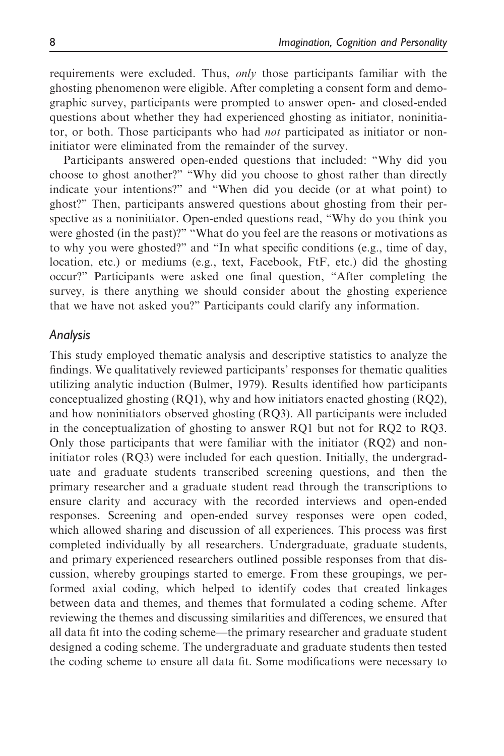requirements were excluded. Thus, only those participants familiar with the ghosting phenomenon were eligible. After completing a consent form and demographic survey, participants were prompted to answer open- and closed-ended questions about whether they had experienced ghosting as initiator, noninitiator, or both. Those participants who had *not* participated as initiator or noninitiator were eliminated from the remainder of the survey.

Participants answered open-ended questions that included: "Why did you choose to ghost another?" "Why did you choose to ghost rather than directly indicate your intentions?" and "When did you decide (or at what point) to ghost?" Then, participants answered questions about ghosting from their perspective as a noninitiator. Open-ended questions read, "Why do you think you were ghosted (in the past)?" "What do you feel are the reasons or motivations as to why you were ghosted?" and "In what specific conditions (e.g., time of day, location, etc.) or mediums (e.g., text, Facebook, FtF, etc.) did the ghosting occur?" Participants were asked one final question, "After completing the survey, is there anything we should consider about the ghosting experience that we have not asked you?" Participants could clarify any information.

# Analysis

This study employed thematic analysis and descriptive statistics to analyze the findings. We qualitatively reviewed participants' responses for thematic qualities utilizing analytic induction (Bulmer, 1979). Results identified how participants conceptualized ghosting (RQ1), why and how initiators enacted ghosting (RQ2), and how noninitiators observed ghosting (RQ3). All participants were included in the conceptualization of ghosting to answer RQ1 but not for RQ2 to RQ3. Only those participants that were familiar with the initiator (RQ2) and noninitiator roles (RQ3) were included for each question. Initially, the undergraduate and graduate students transcribed screening questions, and then the primary researcher and a graduate student read through the transcriptions to ensure clarity and accuracy with the recorded interviews and open-ended responses. Screening and open-ended survey responses were open coded, which allowed sharing and discussion of all experiences. This process was first completed individually by all researchers. Undergraduate, graduate students, and primary experienced researchers outlined possible responses from that discussion, whereby groupings started to emerge. From these groupings, we performed axial coding, which helped to identify codes that created linkages between data and themes, and themes that formulated a coding scheme. After reviewing the themes and discussing similarities and differences, we ensured that all data fit into the coding scheme—the primary researcher and graduate student designed a coding scheme. The undergraduate and graduate students then tested the coding scheme to ensure all data fit. Some modifications were necessary to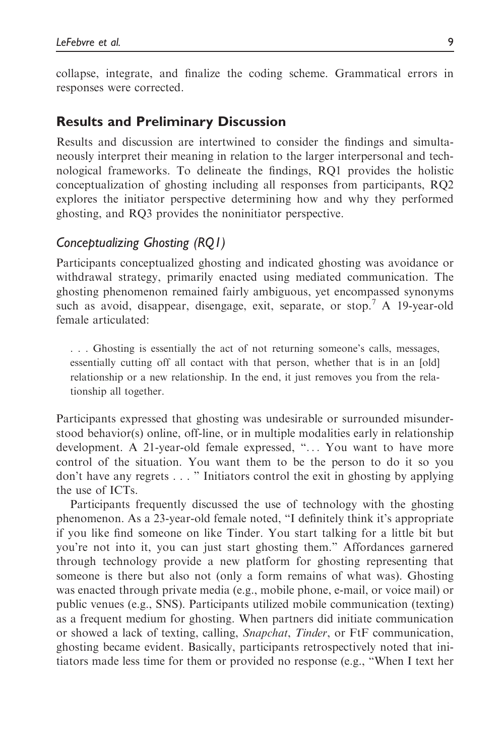collapse, integrate, and finalize the coding scheme. Grammatical errors in responses were corrected.

# Results and Preliminary Discussion

Results and discussion are intertwined to consider the findings and simultaneously interpret their meaning in relation to the larger interpersonal and technological frameworks. To delineate the findings, RQ1 provides the holistic conceptualization of ghosting including all responses from participants, RQ2 explores the initiator perspective determining how and why they performed ghosting, and RQ3 provides the noninitiator perspective.

#### Conceptualizing Ghosting (RQ1)

Participants conceptualized ghosting and indicated ghosting was avoidance or withdrawal strategy, primarily enacted using mediated communication. The ghosting phenomenon remained fairly ambiguous, yet encompassed synonyms such as avoid, disappear, disengage, exit, separate, or stop.<sup>7</sup> A 19-year-old female articulated:

. . . Ghosting is essentially the act of not returning someone's calls, messages, essentially cutting off all contact with that person, whether that is in an [old] relationship or a new relationship. In the end, it just removes you from the relationship all together.

Participants expressed that ghosting was undesirable or surrounded misunderstood behavior(s) online, off-line, or in multiple modalities early in relationship development. A 21-year-old female expressed, "... You want to have more control of the situation. You want them to be the person to do it so you don't have any regrets . . . " Initiators control the exit in ghosting by applying the use of ICTs.

Participants frequently discussed the use of technology with the ghosting phenomenon. As a 23-year-old female noted, "I definitely think it's appropriate if you like find someone on like Tinder. You start talking for a little bit but you're not into it, you can just start ghosting them." Affordances garnered through technology provide a new platform for ghosting representing that someone is there but also not (only a form remains of what was). Ghosting was enacted through private media (e.g., mobile phone, e-mail, or voice mail) or public venues (e.g., SNS). Participants utilized mobile communication (texting) as a frequent medium for ghosting. When partners did initiate communication or showed a lack of texting, calling, Snapchat, Tinder, or FtF communication, ghosting became evident. Basically, participants retrospectively noted that initiators made less time for them or provided no response (e.g., "When I text her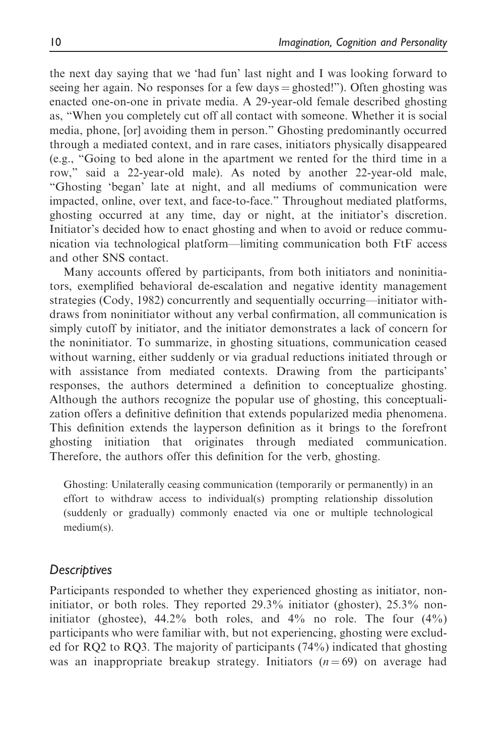the next day saying that we 'had fun' last night and I was looking forward to seeing her again. No responses for a few days = ghosted!"). Often ghosting was enacted one-on-one in private media. A 29-year-old female described ghosting as, "When you completely cut off all contact with someone. Whether it is social media, phone, [or] avoiding them in person." Ghosting predominantly occurred through a mediated context, and in rare cases, initiators physically disappeared (e.g., "Going to bed alone in the apartment we rented for the third time in a row," said a 22-year-old male). As noted by another 22-year-old male, "Ghosting 'began' late at night, and all mediums of communication were impacted, online, over text, and face-to-face." Throughout mediated platforms, ghosting occurred at any time, day or night, at the initiator's discretion. Initiator's decided how to enact ghosting and when to avoid or reduce communication via technological platform—limiting communication both FtF access and other SNS contact.

Many accounts offered by participants, from both initiators and noninitiators, exemplified behavioral de-escalation and negative identity management strategies (Cody, 1982) concurrently and sequentially occurring—initiator withdraws from noninitiator without any verbal confirmation, all communication is simply cutoff by initiator, and the initiator demonstrates a lack of concern for the noninitiator. To summarize, in ghosting situations, communication ceased without warning, either suddenly or via gradual reductions initiated through or with assistance from mediated contexts. Drawing from the participants' responses, the authors determined a definition to conceptualize ghosting. Although the authors recognize the popular use of ghosting, this conceptualization offers a definitive definition that extends popularized media phenomena. This definition extends the layperson definition as it brings to the forefront ghosting initiation that originates through mediated communication. Therefore, the authors offer this definition for the verb, ghosting.

Ghosting: Unilaterally ceasing communication (temporarily or permanently) in an effort to withdraw access to individual(s) prompting relationship dissolution (suddenly or gradually) commonly enacted via one or multiple technological medium(s).

# Descriptives

Participants responded to whether they experienced ghosting as initiator, noninitiator, or both roles. They reported  $29.3\%$  initiator (ghoster),  $25.3\%$  noninitiator (ghostee),  $44.2\%$  both roles, and  $4\%$  no role. The four  $(4\%)$ participants who were familiar with, but not experiencing, ghosting were excluded for RQ2 to RQ3. The majority of participants (74%) indicated that ghosting was an inappropriate breakup strategy. Initiators  $(n = 69)$  on average had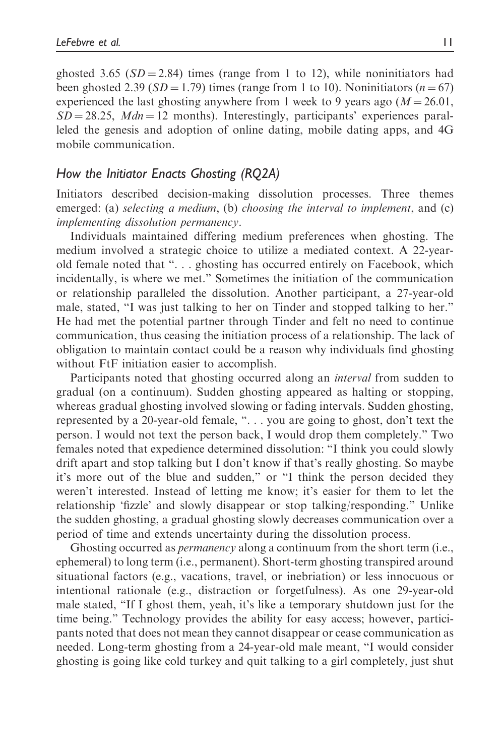ghosted 3.65 ( $SD = 2.84$ ) times (range from 1 to 12), while noninitiators had been ghosted 2.39 ( $SD = 1.79$ ) times (range from 1 to 10). Noninitiators ( $n = 67$ ) experienced the last ghosting anywhere from 1 week to 9 years ago  $(M = 26.01,$  $SD = 28.25$ ,  $Mdn = 12$  months). Interestingly, participants' experiences paralleled the genesis and adoption of online dating, mobile dating apps, and 4G mobile communication.

#### How the Initiator Enacts Ghosting (RQ2A)

Initiators described decision-making dissolution processes. Three themes emerged: (a) selecting a medium, (b) choosing the interval to implement, and (c) implementing dissolution permanency.

Individuals maintained differing medium preferences when ghosting. The medium involved a strategic choice to utilize a mediated context. A 22-yearold female noted that ". . . ghosting has occurred entirely on Facebook, which incidentally, is where we met." Sometimes the initiation of the communication or relationship paralleled the dissolution. Another participant, a 27-year-old male, stated, "I was just talking to her on Tinder and stopped talking to her." He had met the potential partner through Tinder and felt no need to continue communication, thus ceasing the initiation process of a relationship. The lack of obligation to maintain contact could be a reason why individuals find ghosting without FtF initiation easier to accomplish.

Participants noted that ghosting occurred along an *interval* from sudden to gradual (on a continuum). Sudden ghosting appeared as halting or stopping, whereas gradual ghosting involved slowing or fading intervals. Sudden ghosting, represented by a 20-year-old female, ". . . you are going to ghost, don't text the person. I would not text the person back, I would drop them completely." Two females noted that expedience determined dissolution: "I think you could slowly drift apart and stop talking but I don't know if that's really ghosting. So maybe it's more out of the blue and sudden," or "I think the person decided they weren't interested. Instead of letting me know; it's easier for them to let the relationship 'fizzle' and slowly disappear or stop talking/responding." Unlike the sudden ghosting, a gradual ghosting slowly decreases communication over a period of time and extends uncertainty during the dissolution process.

Ghosting occurred as *permanency* along a continuum from the short term (i.e., ephemeral) to long term (i.e., permanent). Short-term ghosting transpired around situational factors (e.g., vacations, travel, or inebriation) or less innocuous or intentional rationale (e.g., distraction or forgetfulness). As one 29-year-old male stated, "If I ghost them, yeah, it's like a temporary shutdown just for the time being." Technology provides the ability for easy access; however, participants noted that does not mean they cannot disappear or cease communication as needed. Long-term ghosting from a 24-year-old male meant, "I would consider ghosting is going like cold turkey and quit talking to a girl completely, just shut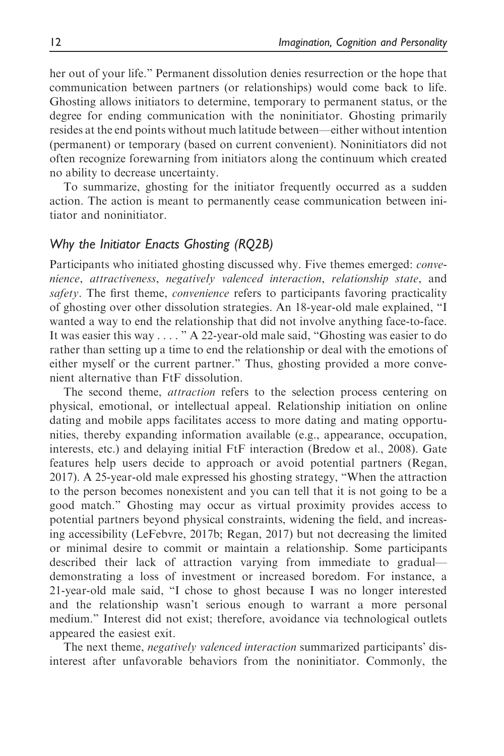her out of your life." Permanent dissolution denies resurrection or the hope that communication between partners (or relationships) would come back to life. Ghosting allows initiators to determine, temporary to permanent status, or the degree for ending communication with the noninitiator. Ghosting primarily resides at the end points without much latitude between—either without intention (permanent) or temporary (based on current convenient). Noninitiators did not often recognize forewarning from initiators along the continuum which created no ability to decrease uncertainty.

To summarize, ghosting for the initiator frequently occurred as a sudden action. The action is meant to permanently cease communication between initiator and noninitiator.

# Why the Initiator Enacts Ghosting (RQ2B)

Participants who initiated ghosting discussed why. Five themes emerged: convenience, attractiveness, negatively valenced interaction, relationship state, and safety. The first theme, *convenience* refers to participants favoring practicality of ghosting over other dissolution strategies. An 18-year-old male explained, "I wanted a way to end the relationship that did not involve anything face-to-face. It was easier this way . . . . " A 22-year-old male said, "Ghosting was easier to do rather than setting up a time to end the relationship or deal with the emotions of either myself or the current partner." Thus, ghosting provided a more convenient alternative than FtF dissolution.

The second theme, *attraction* refers to the selection process centering on physical, emotional, or intellectual appeal. Relationship initiation on online dating and mobile apps facilitates access to more dating and mating opportunities, thereby expanding information available (e.g., appearance, occupation, interests, etc.) and delaying initial FtF interaction (Bredow et al., 2008). Gate features help users decide to approach or avoid potential partners (Regan, 2017). A 25-year-old male expressed his ghosting strategy, "When the attraction to the person becomes nonexistent and you can tell that it is not going to be a good match." Ghosting may occur as virtual proximity provides access to potential partners beyond physical constraints, widening the field, and increasing accessibility (LeFebvre, 2017b; Regan, 2017) but not decreasing the limited or minimal desire to commit or maintain a relationship. Some participants described their lack of attraction varying from immediate to gradual demonstrating a loss of investment or increased boredom. For instance, a 21-year-old male said, "I chose to ghost because I was no longer interested and the relationship wasn't serious enough to warrant a more personal medium." Interest did not exist; therefore, avoidance via technological outlets appeared the easiest exit.

The next theme, negatively valenced interaction summarized participants' disinterest after unfavorable behaviors from the noninitiator. Commonly, the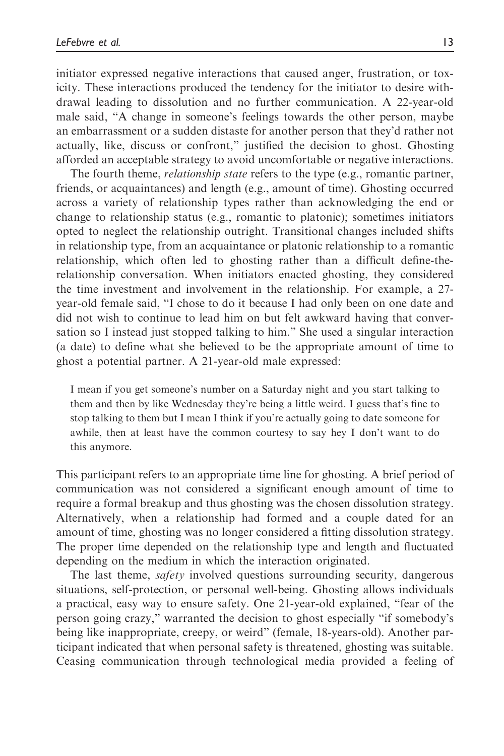initiator expressed negative interactions that caused anger, frustration, or toxicity. These interactions produced the tendency for the initiator to desire withdrawal leading to dissolution and no further communication. A 22-year-old male said, "A change in someone's feelings towards the other person, maybe an embarrassment or a sudden distaste for another person that they'd rather not actually, like, discuss or confront," justified the decision to ghost. Ghosting afforded an acceptable strategy to avoid uncomfortable or negative interactions.

The fourth theme, *relationship state* refers to the type (e.g., romantic partner, friends, or acquaintances) and length (e.g., amount of time). Ghosting occurred across a variety of relationship types rather than acknowledging the end or change to relationship status (e.g., romantic to platonic); sometimes initiators opted to neglect the relationship outright. Transitional changes included shifts in relationship type, from an acquaintance or platonic relationship to a romantic relationship, which often led to ghosting rather than a difficult define-therelationship conversation. When initiators enacted ghosting, they considered the time investment and involvement in the relationship. For example, a 27 year-old female said, "I chose to do it because I had only been on one date and did not wish to continue to lead him on but felt awkward having that conversation so I instead just stopped talking to him." She used a singular interaction (a date) to define what she believed to be the appropriate amount of time to ghost a potential partner. A 21-year-old male expressed:

I mean if you get someone's number on a Saturday night and you start talking to them and then by like Wednesday they're being a little weird. I guess that's fine to stop talking to them but I mean I think if you're actually going to date someone for awhile, then at least have the common courtesy to say hey I don't want to do this anymore.

This participant refers to an appropriate time line for ghosting. A brief period of communication was not considered a significant enough amount of time to require a formal breakup and thus ghosting was the chosen dissolution strategy. Alternatively, when a relationship had formed and a couple dated for an amount of time, ghosting was no longer considered a fitting dissolution strategy. The proper time depended on the relationship type and length and fluctuated depending on the medium in which the interaction originated.

The last theme, *safety* involved questions surrounding security, dangerous situations, self-protection, or personal well-being. Ghosting allows individuals a practical, easy way to ensure safety. One 21-year-old explained, "fear of the person going crazy," warranted the decision to ghost especially "if somebody's being like inappropriate, creepy, or weird" (female, 18-years-old). Another participant indicated that when personal safety is threatened, ghosting was suitable. Ceasing communication through technological media provided a feeling of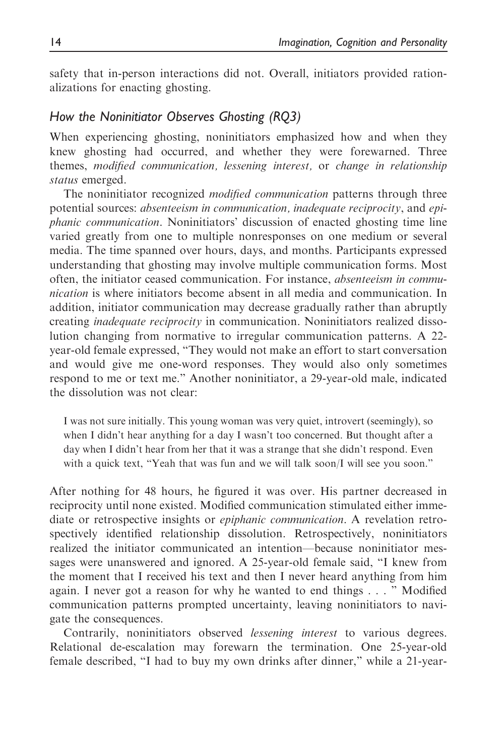safety that in-person interactions did not. Overall, initiators provided rationalizations for enacting ghosting.

# How the Noninitiator Observes Ghosting (RQ3)

When experiencing ghosting, noninitiators emphasized how and when they knew ghosting had occurred, and whether they were forewarned. Three themes, modified communication, lessening interest, or change in relationship status emerged.

The noninitiator recognized modified communication patterns through three potential sources: absenteeism in communication, inadequate reciprocity, and epiphanic communication. Noninitiators' discussion of enacted ghosting time line varied greatly from one to multiple nonresponses on one medium or several media. The time spanned over hours, days, and months. Participants expressed understanding that ghosting may involve multiple communication forms. Most often, the initiator ceased communication. For instance, absenteeism in communication is where initiators become absent in all media and communication. In addition, initiator communication may decrease gradually rather than abruptly creating inadequate reciprocity in communication. Noninitiators realized dissolution changing from normative to irregular communication patterns. A 22 year-old female expressed, "They would not make an effort to start conversation and would give me one-word responses. They would also only sometimes respond to me or text me." Another noninitiator, a 29-year-old male, indicated the dissolution was not clear:

I was not sure initially. This young woman was very quiet, introvert (seemingly), so when I didn't hear anything for a day I wasn't too concerned. But thought after a day when I didn't hear from her that it was a strange that she didn't respond. Even with a quick text, "Yeah that was fun and we will talk soon/I will see you soon."

After nothing for 48 hours, he figured it was over. His partner decreased in reciprocity until none existed. Modified communication stimulated either immediate or retrospective insights or epiphanic communication. A revelation retrospectively identified relationship dissolution. Retrospectively, noninitiators realized the initiator communicated an intention—because noninitiator messages were unanswered and ignored. A 25-year-old female said, "I knew from the moment that I received his text and then I never heard anything from him again. I never got a reason for why he wanted to end things . . . " Modified communication patterns prompted uncertainty, leaving noninitiators to navigate the consequences.

Contrarily, noninitiators observed lessening interest to various degrees. Relational de-escalation may forewarn the termination. One 25-year-old female described, "I had to buy my own drinks after dinner," while a 21-year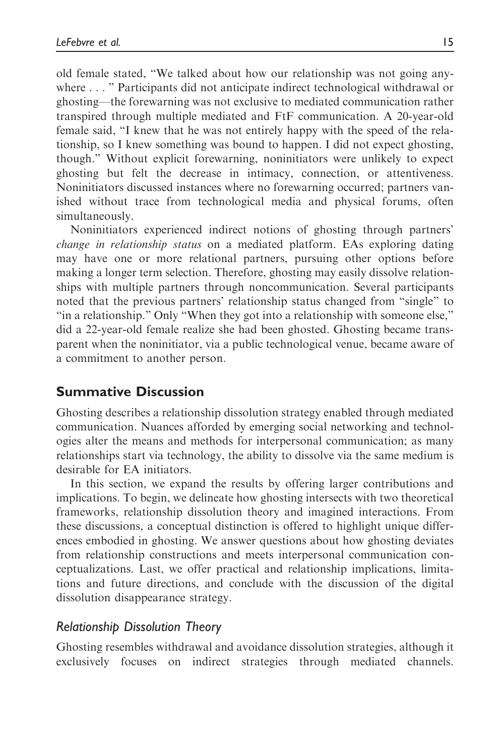old female stated, "We talked about how our relationship was not going anywhere  $\ldots$  " Participants did not anticipate indirect technological withdrawal or ghosting—the forewarning was not exclusive to mediated communication rather transpired through multiple mediated and FtF communication. A 20-year-old female said, "I knew that he was not entirely happy with the speed of the relationship, so I knew something was bound to happen. I did not expect ghosting, though." Without explicit forewarning, noninitiators were unlikely to expect ghosting but felt the decrease in intimacy, connection, or attentiveness. Noninitiators discussed instances where no forewarning occurred; partners vanished without trace from technological media and physical forums, often simultaneously.

Noninitiators experienced indirect notions of ghosting through partners' change in relationship status on a mediated platform. EAs exploring dating may have one or more relational partners, pursuing other options before making a longer term selection. Therefore, ghosting may easily dissolve relationships with multiple partners through noncommunication. Several participants noted that the previous partners' relationship status changed from "single" to "in a relationship." Only "When they got into a relationship with someone else," did a 22-year-old female realize she had been ghosted. Ghosting became transparent when the noninitiator, via a public technological venue, became aware of a commitment to another person.

# Summative Discussion

Ghosting describes a relationship dissolution strategy enabled through mediated communication. Nuances afforded by emerging social networking and technologies alter the means and methods for interpersonal communication; as many relationships start via technology, the ability to dissolve via the same medium is desirable for EA initiators.

In this section, we expand the results by offering larger contributions and implications. To begin, we delineate how ghosting intersects with two theoretical frameworks, relationship dissolution theory and imagined interactions. From these discussions, a conceptual distinction is offered to highlight unique differences embodied in ghosting. We answer questions about how ghosting deviates from relationship constructions and meets interpersonal communication conceptualizations. Last, we offer practical and relationship implications, limitations and future directions, and conclude with the discussion of the digital dissolution disappearance strategy.

# Relationship Dissolution Theory

Ghosting resembles withdrawal and avoidance dissolution strategies, although it exclusively focuses on indirect strategies through mediated channels.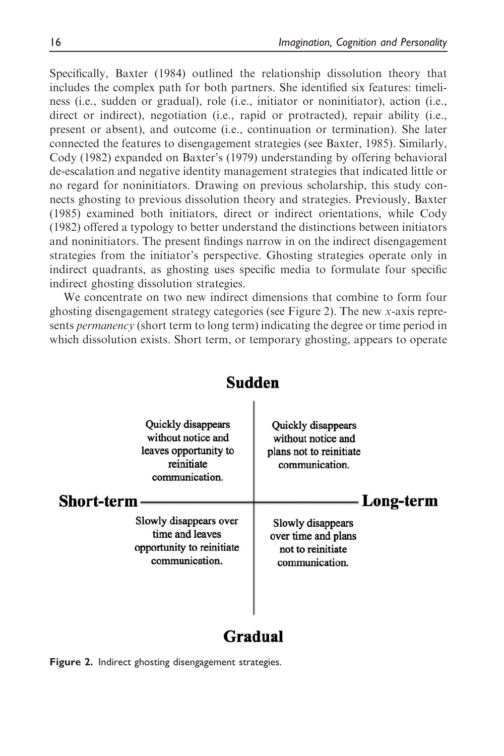Specifically, Baxter (1984) outlined the relationship dissolution theory that includes the complex path for both partners. She identified six features: timeliness (i.e., sudden or gradual), role (i.e., initiator or noninitiator), action (i.e., direct or indirect), negotiation (i.e., rapid or protracted), repair ability (i.e., present or absent), and outcome (i.e., continuation or termination). She later connected the features to disengagement strategies (see Baxter, 1985). Similarly, Cody (1982) expanded on Baxter's (1979) understanding by offering behavioral de-escalation and negative identity management strategies that indicated little or no regard for noninitiators. Drawing on previous scholarship, this study connects ghosting to previous dissolution theory and strategies. Previously, Baxter (1985) examined both initiators, direct or indirect orientations, while Cody (1982) offered a typology to better understand the distinctions between initiators and noninitiators. The present findings narrow in on the indirect disengagement strategies from the initiator's perspective. Ghosting strategies operate only in indirect quadrants, as ghosting uses specific media to formulate four specific indirect ghosting dissolution strategies.

We concentrate on two new indirect dimensions that combine to form four ghosting disengagement strategy categories (see Figure 2). The new x-axis represents permanency (short term to long term) indicating the degree or time period in which dissolution exists. Short term, or temporary ghosting, appears to operate

| Quickly disappears<br>without notice and<br>leaves opportunity to<br>reinitiate<br>communication. | Quickly disappears<br>without notice and<br>plans not to reinitiate<br>communication. |
|---------------------------------------------------------------------------------------------------|---------------------------------------------------------------------------------------|
| <b>Short-term</b>                                                                                 | Long-term                                                                             |
| Slowly disappears over                                                                            | Slowly disappears                                                                     |
| time and leaves                                                                                   | over time and plans                                                                   |
| opportunity to reinitiate                                                                         | not to reinitiate                                                                     |
| communication.                                                                                    | communication.                                                                        |

# **Sudden**

# Gradual

Figure 2. Indirect ghosting disengagement strategies.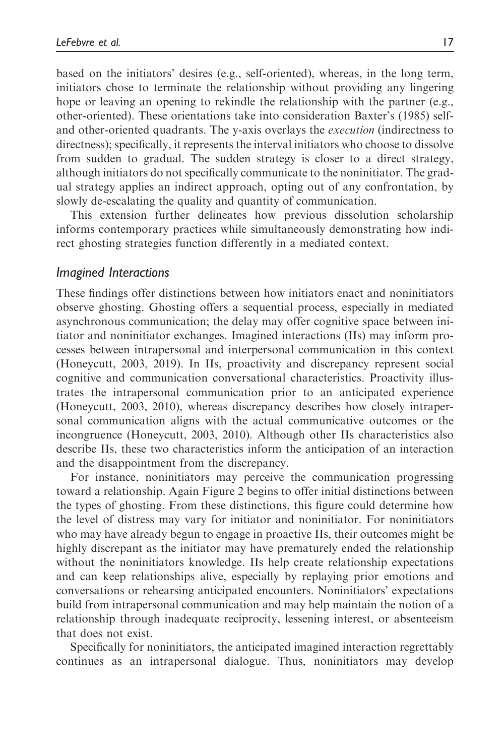based on the initiators' desires (e.g., self-oriented), whereas, in the long term, initiators chose to terminate the relationship without providing any lingering hope or leaving an opening to rekindle the relationship with the partner (e.g., other-oriented). These orientations take into consideration Baxter's (1985) selfand other-oriented quadrants. The y-axis overlays the execution (indirectness to directness); specifically, it represents the interval initiators who choose to dissolve from sudden to gradual. The sudden strategy is closer to a direct strategy, although initiators do not specifically communicate to the noninitiator. The gradual strategy applies an indirect approach, opting out of any confrontation, by slowly de-escalating the quality and quantity of communication.

This extension further delineates how previous dissolution scholarship informs contemporary practices while simultaneously demonstrating how indirect ghosting strategies function differently in a mediated context.

#### Imagined Interactions

These findings offer distinctions between how initiators enact and noninitiators observe ghosting. Ghosting offers a sequential process, especially in mediated asynchronous communication; the delay may offer cognitive space between initiator and noninitiator exchanges. Imagined interactions (IIs) may inform processes between intrapersonal and interpersonal communication in this context (Honeycutt, 2003, 2019). In IIs, proactivity and discrepancy represent social cognitive and communication conversational characteristics. Proactivity illustrates the intrapersonal communication prior to an anticipated experience (Honeycutt, 2003, 2010), whereas discrepancy describes how closely intrapersonal communication aligns with the actual communicative outcomes or the incongruence (Honeycutt, 2003, 2010). Although other IIs characteristics also describe IIs, these two characteristics inform the anticipation of an interaction and the disappointment from the discrepancy.

For instance, noninitiators may perceive the communication progressing toward a relationship. Again Figure 2 begins to offer initial distinctions between the types of ghosting. From these distinctions, this figure could determine how the level of distress may vary for initiator and noninitiator. For noninitiators who may have already begun to engage in proactive IIs, their outcomes might be highly discrepant as the initiator may have prematurely ended the relationship without the noninitiators knowledge. IIs help create relationship expectations and can keep relationships alive, especially by replaying prior emotions and conversations or rehearsing anticipated encounters. Noninitiators' expectations build from intrapersonal communication and may help maintain the notion of a relationship through inadequate reciprocity, lessening interest, or absenteeism that does not exist.

Specifically for noninitiators, the anticipated imagined interaction regrettably continues as an intrapersonal dialogue. Thus, noninitiators may develop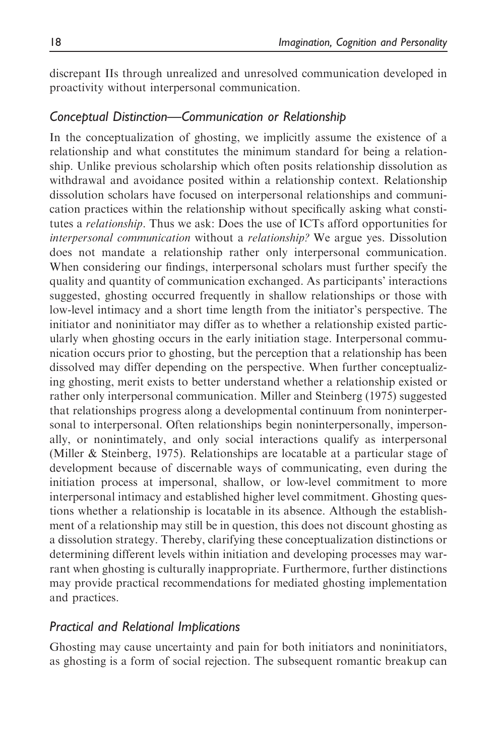discrepant IIs through unrealized and unresolved communication developed in proactivity without interpersonal communication.

# Conceptual Distinction—Communication or Relationship

In the conceptualization of ghosting, we implicitly assume the existence of a relationship and what constitutes the minimum standard for being a relationship. Unlike previous scholarship which often posits relationship dissolution as withdrawal and avoidance posited within a relationship context. Relationship dissolution scholars have focused on interpersonal relationships and communication practices within the relationship without specifically asking what constitutes a relationship. Thus we ask: Does the use of ICTs afford opportunities for interpersonal communication without a relationship? We argue yes. Dissolution does not mandate a relationship rather only interpersonal communication. When considering our findings, interpersonal scholars must further specify the quality and quantity of communication exchanged. As participants' interactions suggested, ghosting occurred frequently in shallow relationships or those with low-level intimacy and a short time length from the initiator's perspective. The initiator and noninitiator may differ as to whether a relationship existed particularly when ghosting occurs in the early initiation stage. Interpersonal communication occurs prior to ghosting, but the perception that a relationship has been dissolved may differ depending on the perspective. When further conceptualizing ghosting, merit exists to better understand whether a relationship existed or rather only interpersonal communication. Miller and Steinberg (1975) suggested that relationships progress along a developmental continuum from noninterpersonal to interpersonal. Often relationships begin noninterpersonally, impersonally, or nonintimately, and only social interactions qualify as interpersonal (Miller & Steinberg, 1975). Relationships are locatable at a particular stage of development because of discernable ways of communicating, even during the initiation process at impersonal, shallow, or low-level commitment to more interpersonal intimacy and established higher level commitment. Ghosting questions whether a relationship is locatable in its absence. Although the establishment of a relationship may still be in question, this does not discount ghosting as a dissolution strategy. Thereby, clarifying these conceptualization distinctions or determining different levels within initiation and developing processes may warrant when ghosting is culturally inappropriate. Furthermore, further distinctions may provide practical recommendations for mediated ghosting implementation and practices.

# Practical and Relational Implications

Ghosting may cause uncertainty and pain for both initiators and noninitiators, as ghosting is a form of social rejection. The subsequent romantic breakup can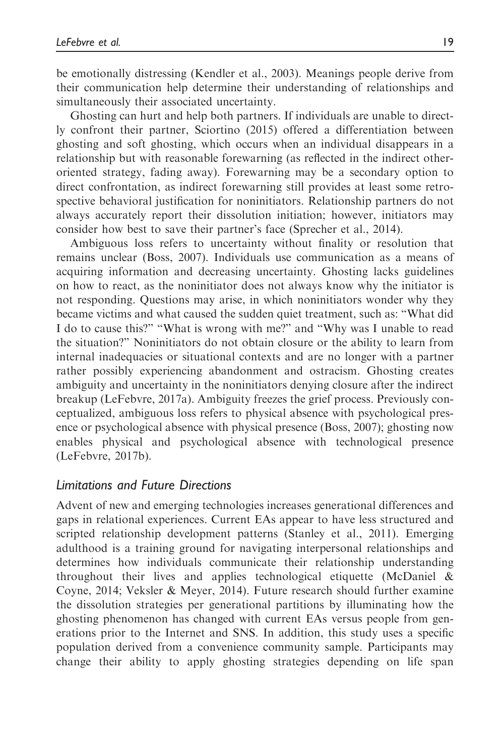be emotionally distressing (Kendler et al., 2003). Meanings people derive from their communication help determine their understanding of relationships and simultaneously their associated uncertainty.

Ghosting can hurt and help both partners. If individuals are unable to directly confront their partner, Sciortino (2015) offered a differentiation between ghosting and soft ghosting, which occurs when an individual disappears in a relationship but with reasonable forewarning (as reflected in the indirect otheroriented strategy, fading away). Forewarning may be a secondary option to direct confrontation, as indirect forewarning still provides at least some retrospective behavioral justification for noninitiators. Relationship partners do not always accurately report their dissolution initiation; however, initiators may consider how best to save their partner's face (Sprecher et al., 2014).

Ambiguous loss refers to uncertainty without finality or resolution that remains unclear (Boss, 2007). Individuals use communication as a means of acquiring information and decreasing uncertainty. Ghosting lacks guidelines on how to react, as the noninitiator does not always know why the initiator is not responding. Questions may arise, in which noninitiators wonder why they became victims and what caused the sudden quiet treatment, such as: "What did I do to cause this?" "What is wrong with me?" and "Why was I unable to read the situation?" Noninitiators do not obtain closure or the ability to learn from internal inadequacies or situational contexts and are no longer with a partner rather possibly experiencing abandonment and ostracism. Ghosting creates ambiguity and uncertainty in the noninitiators denying closure after the indirect breakup (LeFebvre, 2017a). Ambiguity freezes the grief process. Previously conceptualized, ambiguous loss refers to physical absence with psychological presence or psychological absence with physical presence (Boss, 2007); ghosting now enables physical and psychological absence with technological presence (LeFebvre, 2017b).

#### Limitations and Future Directions

Advent of new and emerging technologies increases generational differences and gaps in relational experiences. Current EAs appear to have less structured and scripted relationship development patterns (Stanley et al., 2011). Emerging adulthood is a training ground for navigating interpersonal relationships and determines how individuals communicate their relationship understanding throughout their lives and applies technological etiquette (McDaniel & Coyne, 2014; Veksler & Meyer, 2014). Future research should further examine the dissolution strategies per generational partitions by illuminating how the ghosting phenomenon has changed with current EAs versus people from generations prior to the Internet and SNS. In addition, this study uses a specific population derived from a convenience community sample. Participants may change their ability to apply ghosting strategies depending on life span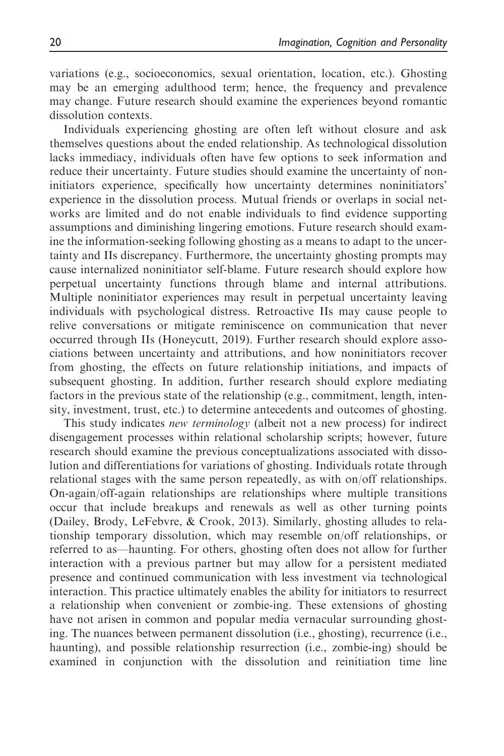variations (e.g., socioeconomics, sexual orientation, location, etc.). Ghosting may be an emerging adulthood term; hence, the frequency and prevalence may change. Future research should examine the experiences beyond romantic dissolution contexts.

Individuals experiencing ghosting are often left without closure and ask themselves questions about the ended relationship. As technological dissolution lacks immediacy, individuals often have few options to seek information and reduce their uncertainty. Future studies should examine the uncertainty of noninitiators experience, specifically how uncertainty determines noninitiators' experience in the dissolution process. Mutual friends or overlaps in social networks are limited and do not enable individuals to find evidence supporting assumptions and diminishing lingering emotions. Future research should examine the information-seeking following ghosting as a means to adapt to the uncertainty and IIs discrepancy. Furthermore, the uncertainty ghosting prompts may cause internalized noninitiator self-blame. Future research should explore how perpetual uncertainty functions through blame and internal attributions. Multiple noninitiator experiences may result in perpetual uncertainty leaving individuals with psychological distress. Retroactive IIs may cause people to relive conversations or mitigate reminiscence on communication that never occurred through IIs (Honeycutt, 2019). Further research should explore associations between uncertainty and attributions, and how noninitiators recover from ghosting, the effects on future relationship initiations, and impacts of subsequent ghosting. In addition, further research should explore mediating factors in the previous state of the relationship (e.g., commitment, length, intensity, investment, trust, etc.) to determine antecedents and outcomes of ghosting.

This study indicates new terminology (albeit not a new process) for indirect disengagement processes within relational scholarship scripts; however, future research should examine the previous conceptualizations associated with dissolution and differentiations for variations of ghosting. Individuals rotate through relational stages with the same person repeatedly, as with on/off relationships. On-again/off-again relationships are relationships where multiple transitions occur that include breakups and renewals as well as other turning points (Dailey, Brody, LeFebvre, & Crook, 2013). Similarly, ghosting alludes to relationship temporary dissolution, which may resemble on/off relationships, or referred to as—haunting. For others, ghosting often does not allow for further interaction with a previous partner but may allow for a persistent mediated presence and continued communication with less investment via technological interaction. This practice ultimately enables the ability for initiators to resurrect a relationship when convenient or zombie-ing. These extensions of ghosting have not arisen in common and popular media vernacular surrounding ghosting. The nuances between permanent dissolution (i.e., ghosting), recurrence (i.e., haunting), and possible relationship resurrection (i.e., zombie-ing) should be examined in conjunction with the dissolution and reinitiation time line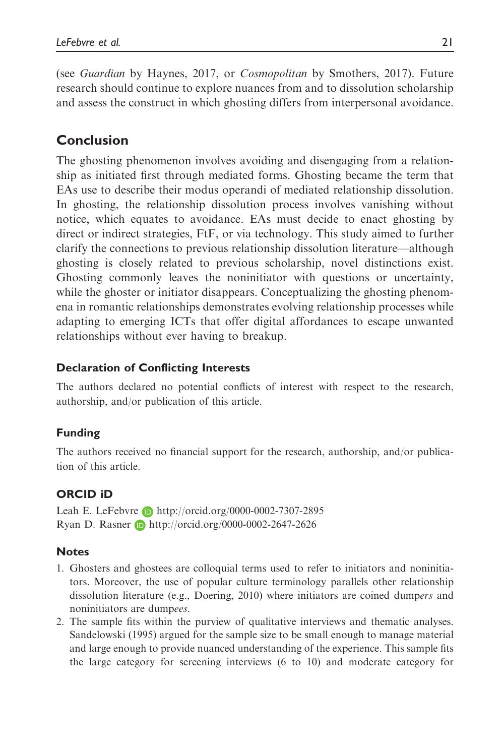(see Guardian by Haynes, 2017, or Cosmopolitan by Smothers, 2017). Future research should continue to explore nuances from and to dissolution scholarship and assess the construct in which ghosting differs from interpersonal avoidance.

# Conclusion

The ghosting phenomenon involves avoiding and disengaging from a relationship as initiated first through mediated forms. Ghosting became the term that EAs use to describe their modus operandi of mediated relationship dissolution. In ghosting, the relationship dissolution process involves vanishing without notice, which equates to avoidance. EAs must decide to enact ghosting by direct or indirect strategies, FtF, or via technology. This study aimed to further clarify the connections to previous relationship dissolution literature—although ghosting is closely related to previous scholarship, novel distinctions exist. Ghosting commonly leaves the noninitiator with questions or uncertainty, while the ghoster or initiator disappears. Conceptualizing the ghosting phenomena in romantic relationships demonstrates evolving relationship processes while adapting to emerging ICTs that offer digital affordances to escape unwanted relationships without ever having to breakup.

# Declaration of Conflicting Interests

The authors declared no potential conflicts of interest with respect to the research, authorship, and/or publication of this article.

# Funding

The authors received no financial support for the research, authorship, and/or publication of this article.

# ORCID iD

Leah E. LeFebvre **b** <http://orcid.org/0000-0002-7307-2895> [Ryan D. Rasner](http://orcid.org/0000-0002-7307-2895) **b** <http://orcid.org/0000-0002-2647-2626>

#### **Notes**

- 1. Ghosters and ghostees are colloquial terms used to refer to initiators and noninitiators. Moreover, the use of popular culture terminology parallels other relationship dissolution literature (e.g., Doering, 2010) where initiators are coined dumpers and noninitiators are dumpees.
- 2. The sample fits within the purview of qualitative interviews and thematic analyses. Sandelowski (1995) argued for the sample size to be small enough to manage material and large enough to provide nuanced understanding of the experience. This sample fits the large category for screening interviews (6 to 10) and moderate category for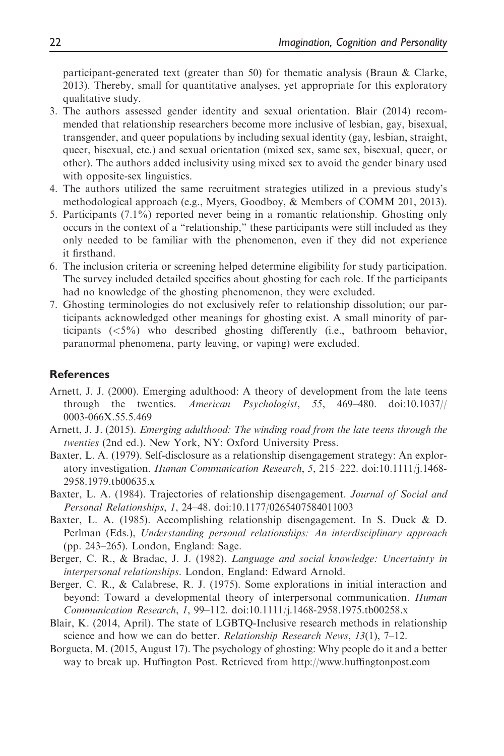participant-generated text (greater than 50) for thematic analysis (Braun  $\&$  Clarke, 2013). Thereby, small for quantitative analyses, yet appropriate for this exploratory qualitative study.

- 3. The authors assessed gender identity and sexual orientation. Blair (2014) recommended that relationship researchers become more inclusive of lesbian, gay, bisexual, transgender, and queer populations by including sexual identity (gay, lesbian, straight, queer, bisexual, etc.) and sexual orientation (mixed sex, same sex, bisexual, queer, or other). The authors added inclusivity using mixed sex to avoid the gender binary used with opposite-sex linguistics.
- 4. The authors utilized the same recruitment strategies utilized in a previous study's methodological approach (e.g., Myers, Goodboy, & Members of COMM 201, 2013).
- 5. Participants (7.1%) reported never being in a romantic relationship. Ghosting only occurs in the context of a "relationship," these participants were still included as they only needed to be familiar with the phenomenon, even if they did not experience it firsthand.
- 6. The inclusion criteria or screening helped determine eligibility for study participation. The survey included detailed specifics about ghosting for each role. If the participants had no knowledge of the ghosting phenomenon, they were excluded.
- 7. Ghosting terminologies do not exclusively refer to relationship dissolution; our participants acknowledged other meanings for ghosting exist. A small minority of participants  $(<5\%)$  who described ghosting differently (i.e., bathroom behavior, paranormal phenomena, party leaving, or vaping) were excluded.

# **References**

- Arnett, J. J. (2000). Emerging adulthood: A theory of development from the late teens through the twenties. American Psychologist, 55, 469–480. doi:10.1037// 0003-066X.55.5.469
- Arnett, J. J. (2015). *Emerging adulthood: The winding road from the late teens through the* twenties (2nd ed.). New York, NY: Oxford University Press.
- Baxter, L. A. (1979). Self-disclosure as a relationship disengagement strategy: An exploratory investigation. Human Communication Research, 5, 215–222. doi:10.1111/j.1468- 2958.1979.tb00635.x
- Baxter, L. A. (1984). Trajectories of relationship disengagement. Journal of Social and Personal Relationships, 1, 24–48. doi:10.1177/0265407584011003
- Baxter, L. A. (1985). Accomplishing relationship disengagement. In S. Duck & D. Perlman (Eds.), Understanding personal relationships: An interdisciplinary approach (pp. 243–265). London, England: Sage.
- Berger, C. R., & Bradac, J. J. (1982). Language and social knowledge: Uncertainty in interpersonal relationships. London, England: Edward Arnold.
- Berger, C. R., & Calabrese, R. J. (1975). Some explorations in initial interaction and beyond: Toward a developmental theory of interpersonal communication. Human Communication Research, 1, 99–112. doi:10.1111/j.1468-2958.1975.tb00258.x
- Blair, K. (2014, April). The state of LGBTQ-Inclusive research methods in relationship science and how we can do better. *Relationship Research News*,  $13(1)$ ,  $7-12$ .
- Borgueta, M. (2015, August 17). The psychology of ghosting: Why people do it and a better way to break up. Huffington Post. Retrieved from<http://www.huffingtonpost.com>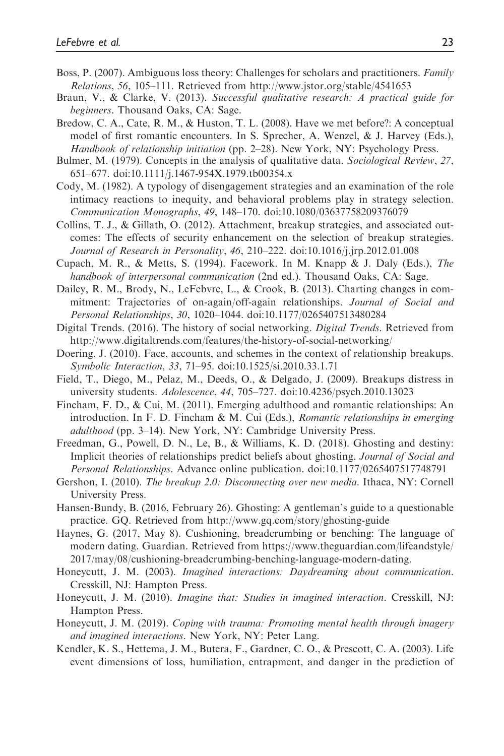- Boss, P. (2007). Ambiguous loss theory: Challenges for scholars and practitioners. Family Relations, 56, 105–111. Retrieved from<http://www.jstor.org/stable/4541653>
- Braun, V., & Clarke, V. (2013). Successful qualitative research: A practical guide for beginners. Thousand Oaks, CA: Sage.
- Bredow, C. A., Cate, R. M., & Huston, T. L. (2008). Have we met before?: A conceptual model of first romantic encounters. In S. Sprecher, A. Wenzel, & J. Harvey (Eds.), Handbook of relationship initiation (pp. 2–28). New York, NY: Psychology Press.
- Bulmer, M. (1979). Concepts in the analysis of qualitative data. Sociological Review, 27, 651–677. doi:10.1111/j.1467-954X.1979.tb00354.x
- Cody, M. (1982). A typology of disengagement strategies and an examination of the role intimacy reactions to inequity, and behavioral problems play in strategy selection. Communication Monographs, 49, 148–170. doi:10.1080/03637758209376079
- Collins, T. J., & Gillath, O. (2012). Attachment, breakup strategies, and associated outcomes: The effects of security enhancement on the selection of breakup strategies. Journal of Research in Personality, 46, 210–222. doi:10.1016/j.jrp.2012.01.008
- Cupach, M. R., & Metts, S. (1994). Facework. In M. Knapp & J. Daly (Eds.), The handbook of interpersonal communication (2nd ed.). Thousand Oaks, CA: Sage.
- Dailey, R. M., Brody, N., LeFebvre, L., & Crook, B. (2013). Charting changes in commitment: Trajectories of on-again/off-again relationships. Journal of Social and Personal Relationships, 30, 1020–1044. doi:10.1177/0265407513480284
- Digital Trends. (2016). The history of social networking. Digital Trends. Retrieved from <http://www.digitaltrends.com/features/the-history-of-social-networking/>
- Doering, J. (2010). Face, accounts, and schemes in the context of relationship breakups. Symbolic Interaction, 33, 71–95. doi:10.1525/si.2010.33.1.71
- Field, T., Diego, M., Pelaz, M., Deeds, O., & Delgado, J. (2009). Breakups distress in university students. Adolescence, 44, 705-727. doi:10.4236/psych.2010.13023
- Fincham, F. D., & Cui, M. (2011). Emerging adulthood and romantic relationships: An introduction. In F. D. Fincham  $\&$  M. Cui (Eds.), *Romantic relationships in emerging* adulthood (pp. 3–14). New York, NY: Cambridge University Press.
- Freedman, G., Powell, D. N., Le, B., & Williams, K. D. (2018). Ghosting and destiny: Implicit theories of relationships predict beliefs about ghosting. Journal of Social and Personal Relationships. Advance online publication. doi:10.1177/0265407517748791
- Gershon, I. (2010). The breakup 2.0: Disconnecting over new media. Ithaca, NY: Cornell University Press.
- Hansen-Bundy, B. (2016, February 26). Ghosting: A gentleman's guide to a questionable practice. GQ. Retrieved from<http://www.gq.com/story/ghosting-guide>
- Haynes, G. (2017, May 8). Cushioning, breadcrumbing or benching: The language of modern dating. Guardian. Retrieved from https://www.theguardian.com/lifeandstyle/ 2017/may/08/cushioning-breadcrumbing-benching-language-modern-dating.
- Honeycutt, J. M. (2003). Imagined interactions: Daydreaming about communication. Cresskill, NJ: Hampton Press.
- Honeycutt, J. M. (2010). Imagine that: Studies in imagined interaction. Cresskill, NJ: Hampton Press.
- Honeycutt, J. M. (2019). Coping with trauma: Promoting mental health through imagery and imagined interactions. New York, NY: Peter Lang.
- Kendler, K. S., Hettema, J. M., Butera, F., Gardner, C. O., & Prescott, C. A. (2003). Life event dimensions of loss, humiliation, entrapment, and danger in the prediction of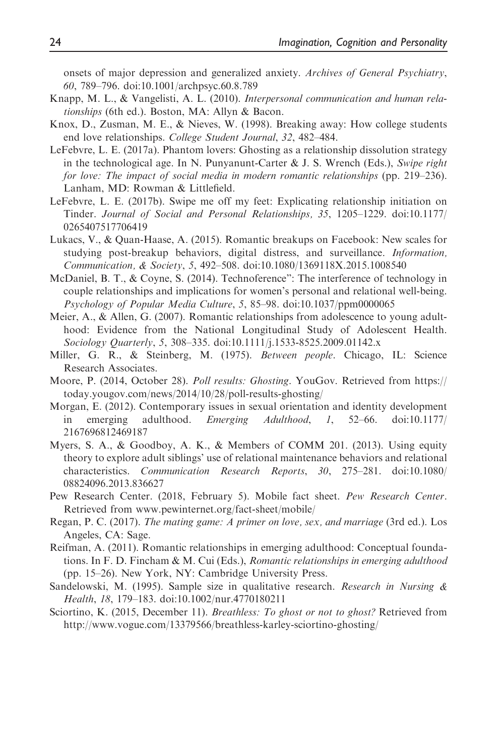onsets of major depression and generalized anxiety. Archives of General Psychiatry, 60, 789–796. doi:10.1001/archpsyc.60.8.789

- Knapp, M. L., & Vangelisti, A. L. (2010). Interpersonal communication and human relationships (6th ed.). Boston, MA: Allyn & Bacon.
- Knox, D., Zusman, M. E., & Nieves, W. (1998). Breaking away: How college students end love relationships. College Student Journal, 32, 482-484.
- LeFebvre, L. E. (2017a). Phantom lovers: Ghosting as a relationship dissolution strategy in the technological age. In N. Punyanunt-Carter & J. S. Wrench (Eds.), Swipe right for love: The impact of social media in modern romantic relationships (pp. 219–236). Lanham, MD: Rowman & Littlefield.
- LeFebvre, L. E. (2017b). Swipe me off my feet: Explicating relationship initiation on Tinder. Journal of Social and Personal Relationships, 35, 1205–1229. doi:10.1177/ 0265407517706419
- Lukacs, V., & Quan-Haase, A. (2015). Romantic breakups on Facebook: New scales for studying post-breakup behaviors, digital distress, and surveillance. *Information*, Communication, & Society, 5, 492–508. doi:10.1080/1369118X.2015.1008540
- McDaniel, B. T., & Coyne, S. (2014). Technoference": The interference of technology in couple relationships and implications for women's personal and relational well-being. Psychology of Popular Media Culture, 5, 85–98. doi:10.1037/ppm0000065
- Meier, A., & Allen, G. (2007). Romantic relationships from adolescence to young adulthood: Evidence from the National Longitudinal Study of Adolescent Health. Sociology Quarterly, 5, 308–335. doi:10.1111/j.1533-8525.2009.01142.x
- Miller, G. R., & Steinberg, M. (1975). *Between people*. Chicago, IL: Science Research Associates.
- Moore, P. (2014, October 28). Poll results: Ghosting. YouGov. Retrieved from [https://](https://today.yougov.com/news/2014/10/28/poll-results-ghosting/) [today.yougov.com/news/2014/10/28/poll-results-ghosting/](https://today.yougov.com/news/2014/10/28/poll-results-ghosting/)
- Morgan, E. (2012). Contemporary issues in sexual orientation and identity development in emerging adulthood. Emerging Adulthood, 1, 52–66. doi:10.1177/ 2167696812469187
- Myers, S. A., & Goodboy, A. K., & Members of COMM 201. (2013). Using equity theory to explore adult siblings' use of relational maintenance behaviors and relational characteristics. Communication Research Reports, 30, 275–281. doi:10.1080/ 08824096.2013.836627
- Pew Research Center. (2018, February 5). Mobile fact sheet. Pew Research Center. Retrieved from [www.pewinternet.org/fact-sheet/mobile/](http://www.pewinternet.org/fact-sheet/mobile/)
- Regan, P. C. (2017). The mating game: A primer on love, sex, and marriage (3rd ed.). Los Angeles, CA: Sage.
- Reifman, A. (2011). Romantic relationships in emerging adulthood: Conceptual foundations. In F. D. Fincham & M. Cui (Eds.), Romantic relationships in emerging adulthood (pp. 15–26). New York, NY: Cambridge University Press.
- Sandelowski, M. (1995). Sample size in qualitative research. Research in Nursing  $\&$ Health, 18, 179–183. doi:10.1002/nur.4770180211
- Sciortino, K. (2015, December 11). *Breathless: To ghost or not to ghost?* Retrieved from <http://www.vogue.com/13379566/breathless-karley-sciortino-ghosting/>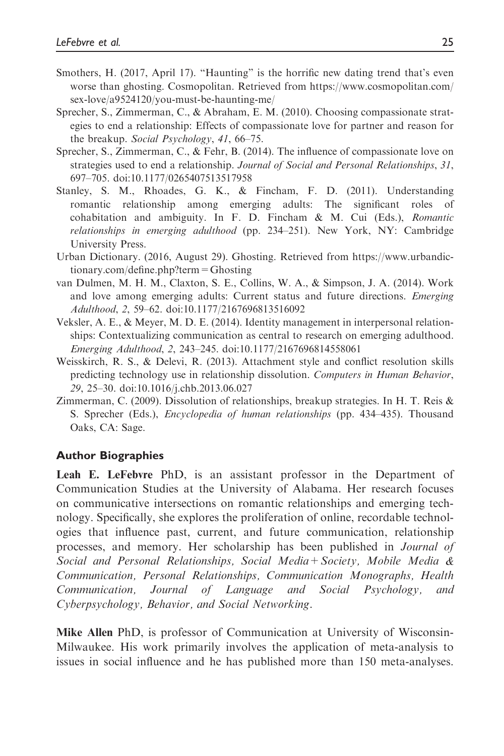- Smothers, H. (2017, April 17). "Haunting" is the horrific new dating trend that's even worse than ghosting. Cosmopolitan. Retrieved from [https://www.cosmopolitan.com/](https://www.cosmopolitan.com/sex-love/a9524120/you-must-be-haunting-me/) [sex-love/a9524120/you-must-be-haunting-me/](https://www.cosmopolitan.com/sex-love/a9524120/you-must-be-haunting-me/)
- Sprecher, S., Zimmerman, C., & Abraham, E. M. (2010). Choosing compassionate strategies to end a relationship: Effects of compassionate love for partner and reason for the breakup. Social Psychology, 41, 66–75.
- Sprecher, S., Zimmerman, C., & Fehr, B. (2014). The influence of compassionate love on strategies used to end a relationship. Journal of Social and Personal Relationships, 31, 697–705. doi:10.1177/0265407513517958
- Stanley, S. M., Rhoades, G. K., & Fincham, F. D. (2011). Understanding romantic relationship among emerging adults: The significant roles of cohabitation and ambiguity. In F. D. Fincham & M. Cui (Eds.), Romantic relationships in emerging adulthood (pp. 234–251). New York, NY: Cambridge University Press.
- Urban Dictionary. (2016, August 29). Ghosting. Retrieved from https://www.urbandictionary.com/define.php?term=Ghosting
- van Dulmen, M. H. M., Claxton, S. E., Collins, W. A., & Simpson, J. A. (2014). Work and love among emerging adults: Current status and future directions. Emerging Adulthood, 2, 59–62. doi:10.1177/2167696813516092
- Veksler, A. E., & Meyer, M. D. E. (2014). Identity management in interpersonal relationships: Contextualizing communication as central to research on emerging adulthood. Emerging Adulthood, 2, 243–245. doi:10.1177/2167696814558061
- Weisskirch, R. S., & Delevi, R. (2013). Attachment style and conflict resolution skills predicting technology use in relationship dissolution. Computers in Human Behavior, 29, 25–30. doi:10.1016/j.chb.2013.06.027
- Zimmerman, C. (2009). Dissolution of relationships, breakup strategies. In H. T. Reis  $\&$ S. Sprecher (Eds.), Encyclopedia of human relationships (pp. 434–435). Thousand Oaks, CA: Sage.

# Author Biographies

Leah E. LeFebvre PhD, is an assistant professor in the Department of Communication Studies at the University of Alabama. Her research focuses on communicative intersections on romantic relationships and emerging technology. Specifically, she explores the proliferation of online, recordable technologies that influence past, current, and future communication, relationship processes, and memory. Her scholarship has been published in Journal of Social and Personal Relationships, Social Media+Society, Mobile Media & Communication, Personal Relationships, Communication Monographs, Health Communication, Journal of Language and Social Psychology, and Cyberpsychology, Behavior, and Social Networking.

Mike Allen PhD, is professor of Communication at University of Wisconsin-Milwaukee. His work primarily involves the application of meta-analysis to issues in social influence and he has published more than 150 meta-analyses.